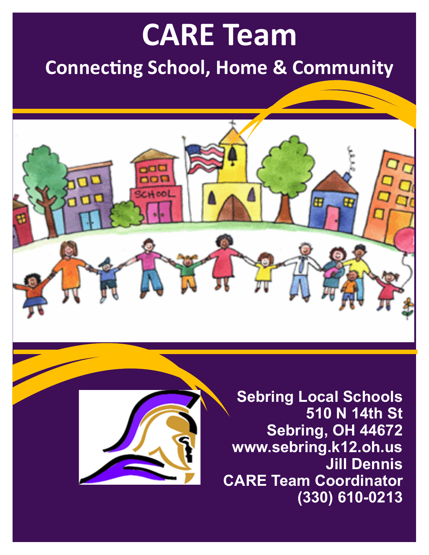# **CARE Team**

# **Connecting School, Home & Community**





**Sebring Local Schools 510 N 14th St Sebring, OH 44672 www.sebring.k12.oh.us Jill Dennis CARE Team Coordinator (330) 610-0213**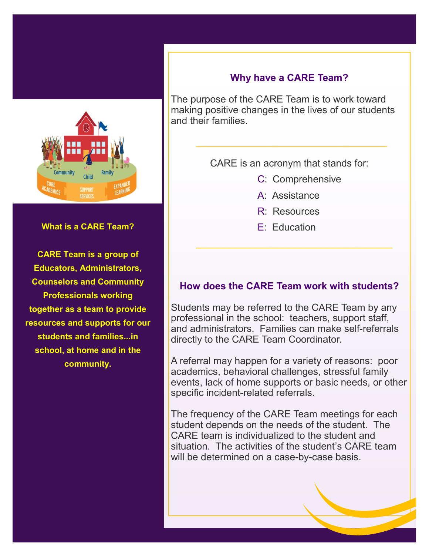

#### **What is a CARE Team?**

**CARE Team is a group of Educators, Administrators, Counselors and Community Professionals working together as a team to provide resources and supports for our students and families...in school, at home and in the community.**

## **Why have a CARE Team?**

The purpose of the CARE Team is to work toward making positive changes in the lives of our students and their families.

CARE is an acronym that stands for:

- C: Comprehensive
- A: Assistance
- R: Resources
- E: Education

#### **How does the CARE Team work with students?**

Students may be referred to the CARE Team by any professional in the school: teachers, support staff, and administrators. Families can make self-referrals directly to the CARE Team Coordinator.

A referral may happen for a variety of reasons: poor academics, behavioral challenges, stressful family events, lack of home supports or basic needs, or other specific incident-related referrals.

The frequency of the CARE Team meetings for each student depends on the needs of the student. The CARE team is individualized to the student and situation. The activities of the student's CARE team will be determined on a case-by-case basis.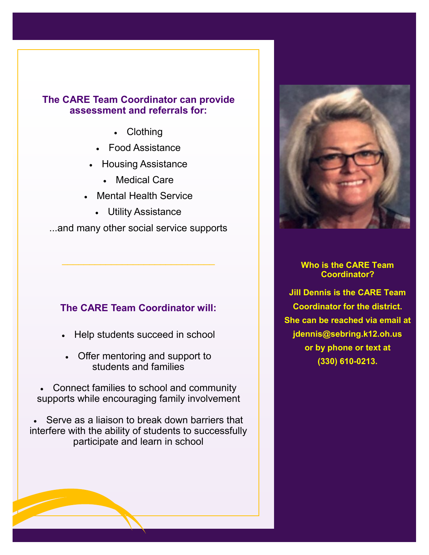#### **The CARE Team Coordinator can provide assessment and referrals for:**

- Clothing
- Food Assistance
- Housing Assistance
	- Medical Care
- Mental Health Service
	- Utility Assistance

...and many other social service supports

 $\mathcal{L}_\text{max}$  and  $\mathcal{L}_\text{max}$  and  $\mathcal{L}_\text{max}$  and  $\mathcal{L}_\text{max}$ 

#### **The CARE Team Coordinator will:**

- Help students succeed in school
- Offer mentoring and support to students and families
- Connect families to school and community supports while encouraging family involvement

Serve as a liaison to break down barriers that interfere with the ability of students to successfully participate and learn in school



#### **Who is the CARE Team Coordinator?**

**Jill Dennis is the CARE Team Coordinator for the district. She can be reached via email at jdennis@sebring.k12.oh.us or by phone or text at (330) 610-0213.**